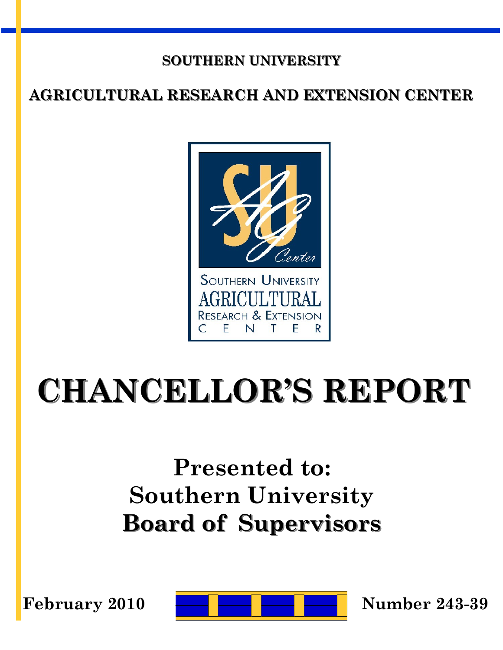#### **SOUTHERN UNIVERSITY**

#### **AGRICULTURAL RESEARCH AND EXTENSION CENTER**



# **CHANCELLOR'S REPORT**

## **Presented to: Southern University Board of Supervisors**

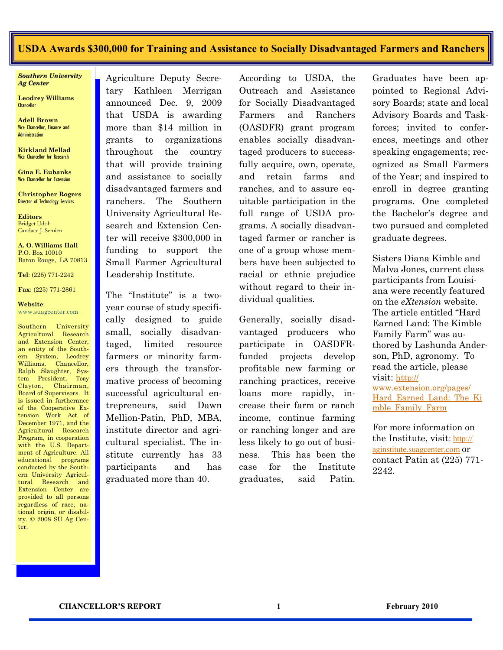#### **USDA Awards \$300,000 for Training and Assistance to Socially Disadvantaged Farmers and Ranchers**

*Southern University Ag Center*

**Leodrey Williams Chancellor** 

**Adell Brown** Vice Chancellor, Finance and Administration

**Kirkland Mellad** Vice Chancellor for Research

**Gina E. Eubanks** Vice Chancellor for Extension

**Christopher Rogers** Director of Technology Services

**Editors** Bridget Udoh Candace J. Semien

**A. O. Williams Hall** P.O. Box 10010 Baton Rouge, LA 70813

**Tel**: (225) 771-2242

**Fax**: (225) 771-2861

**Website**: www.suagcenter.com

Southern University Agricultural Research and Extension Center an entity of the Southern System, Leodrey Williams, Chancellor, Ralph Slaughter, System President, Tony Clayton, Chairman, Board of Supervisors. It is issued in furtherance of the Cooperative Extension Work Act of December 1971, and the Agricultural Research Program, in cooperation with the U.S. Department of Agriculture. All educational programs conducted by the Southern University Agricultural Research and Extension Center are provided to all persons regardless of race, national origin, or disability. © 2008 SU Ag Center.

Agriculture Deputy Secretary Kathleen Merrigan announced Dec. 9, 2009 that USDA is awarding more than \$14 million in grants to organizations throughout the country that will provide training and assistance to socially disadvantaged farmers and ranchers. The Southern University Agricultural Research and Extension Center will receive \$300,000 in funding to support the Small Farmer Agricultural Leadership Institute.

The "Institute" is a twoyear course of study specifically designed to guide small, socially disadvantaged, limited resource farmers or minority farmers through the transformative process of becoming successful agricultural entrepreneurs, said Dawn Mellion-Patin, PhD, MBA, institute director and agricultural specialist. The institute currently has 33 participants and has graduated more than 40.

According to USDA, the Outreach and Assistance for Socially Disadvantaged Farmers and Ranchers (OASDFR) grant program enables socially disadvantaged producers to successfully acquire, own, operate, and retain farms and ranches, and to assure equitable participation in the full range of USDA programs. A socially disadvantaged farmer or rancher is one of a group whose members have been subjected to racial or ethnic prejudice without regard to their individual qualities.

Generally, socially disadvantaged producers who participate in OASDFRfunded projects develop profitable new farming or ranching practices, receive loans more rapidly, increase their farm or ranch income, continue farming or ranching longer and are less likely to go out of business. This has been the case for the Institute graduates, said Patin.

Graduates have been appointed to Regional Advisory Boards; state and local Advisory Boards and Taskforces; invited to conferences, meetings and other speaking engagements; recognized as Small Farmers of the Year; and inspired to enroll in degree granting programs. One completed the Bachelor's degree and two pursued and completed graduate degrees.

Sisters Diana Kimble and Malva Jones, current class participants from Louisiana were recently featured on the *eXtension* website. The article entitled "Hard Earned Land: The Kimble Family Farm" was authored by Lashunda Anderson, PhD, agronomy. To read the article, please visit: [http://](http://www.extension.org/pages/Hard_Earned_Land:_The_Kimble_Family_Farm) [www.extension.org/pages/](http://www.extension.org/pages/Hard_Earned_Land:_The_Kimble_Family_Farm) [Hard\\_Earned\\_Land:\\_The\\_Ki](http://www.extension.org/pages/Hard_Earned_Land:_The_Kimble_Family_Farm) [mble\\_Family\\_Farm](http://www.extension.org/pages/Hard_Earned_Land:_The_Kimble_Family_Farm)

For more information on the Institute, visit: [http://](http://mail.suagcenter.com/exchweb/bin/redir.asp?URL=http://aginstitute.suagcenter.com) [aginstitute.suagcenter.com](http://mail.suagcenter.com/exchweb/bin/redir.asp?URL=http://aginstitute.suagcenter.com) or contact Patin at (225) 771- 2242.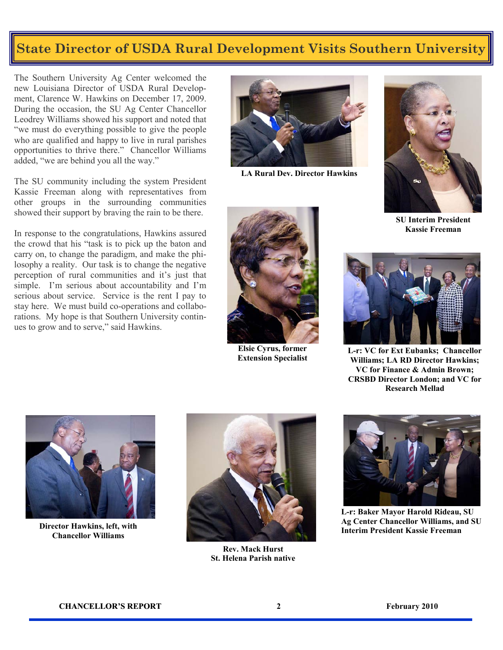#### **State Director of USDA Rural Development Visits Southern University**

The Southern University Ag Center welcomed the new Louisiana Director of USDA Rural Development, Clarence W. Hawkins on December 17, 2009. During the occasion, the SU Ag Center Chancellor Leodrey Williams showed his support and noted that "we must do everything possible to give the people who are qualified and happy to live in rural parishes opportunities to thrive there." Chancellor Williams added, "we are behind you all the way."

The SU community including the system President Kassie Freeman along with representatives from other groups in the surrounding communities showed their support by braving the rain to be there.

In response to the congratulations, Hawkins assured the crowd that his "task is to pick up the baton and carry on, to change the paradigm, and make the philosophy a reality. Our task is to change the negative perception of rural communities and it's just that simple. I'm serious about accountability and I'm serious about service. Service is the rent I pay to stay here. We must build co-operations and collaborations. My hope is that Southern University continues to grow and to serve," said Hawkins.



**LA Rural Dev. Director Hawkins** 



**SU Interim President Kassie Freeman**



**Elsie Cyrus, former Extension Specialist**



**L-r: VC for Ext Eubanks; Chancellor Williams; LA RD Director Hawkins; VC for Finance & Admin Brown; CRSBD Director London; and VC for Research Mellad**



**Chancellor Williams**



**Rev. Mack Hurst St. Helena Parish native**



**L-r: Baker Mayor Harold Rideau, SU Ag Center Chancellor Williams, and SU**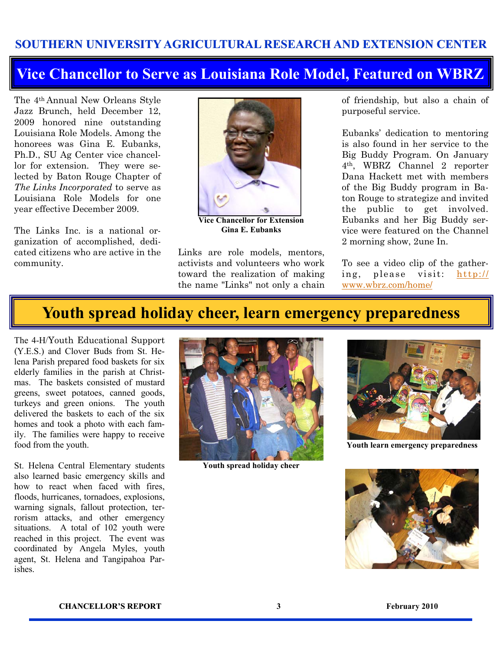#### **SOUTHERN UNIVERSITY AGRICULTURAL RESEARCH AND EXTENSION CENTER**

#### **Vice Chancellor to Serve as Louisiana Role Model, Featured on WBRZ**

The 4th Annual New Orleans Style Jazz Brunch, held December 12, 2009 honored nine outstanding Louisiana Role Models. Among the honorees was Gina E. Eubanks, Ph.D., SU Ag Center vice chancellor for extension. They were selected by Baton Rouge Chapter of *The Links Incorporated* to serve as Louisiana Role Models for one year effective December 2009.

The Links Inc. is a national organization of accomplished, dedicated citizens who are active in the community.



**Vice Chancellor for Extension Gina E. Eubanks**

Links are role models, mentors, activists and volunteers who work toward the realization of making the name "Links" not only a chain of friendship, but also a chain of purposeful service.

Eubanks' dedication to mentoring is also found in her service to the Big Buddy Program. On January 4th, WBRZ Channel 2 reporter Dana Hackett met with members of the Big Buddy program in Baton Rouge to strategize and invited the public to get involved. Eubanks and her Big Buddy service were featured on the Channel 2 morning show, 2une In.

To see a video clip of the gathering, please visit: [http://](http://www.wbrz.com/home/) [www.wbrz.com/home/](http://www.wbrz.com/home/)

#### **Youth spread holiday cheer, learn emergency preparedness**

The 4-H/Youth Educational Support (Y.E.S.) and Clover Buds from St. Helena Parish prepared food baskets for six elderly families in the parish at Christmas. The baskets consisted of mustard greens, sweet potatoes, canned goods, turkeys and green onions. The youth delivered the baskets to each of the six homes and took a photo with each family. The families were happy to receive food from the youth.

St. Helena Central Elementary students also learned basic emergency skills and how to react when faced with fires, floods, hurricanes, tornadoes, explosions, warning signals, fallout protection, terrorism attacks, and other emergency situations. A total of 102 youth were reached in this project. The event was coordinated by Angela Myles, youth agent, St. Helena and Tangipahoa Parishes.



**Youth spread holiday cheer**



**Youth learn emergency preparedness**

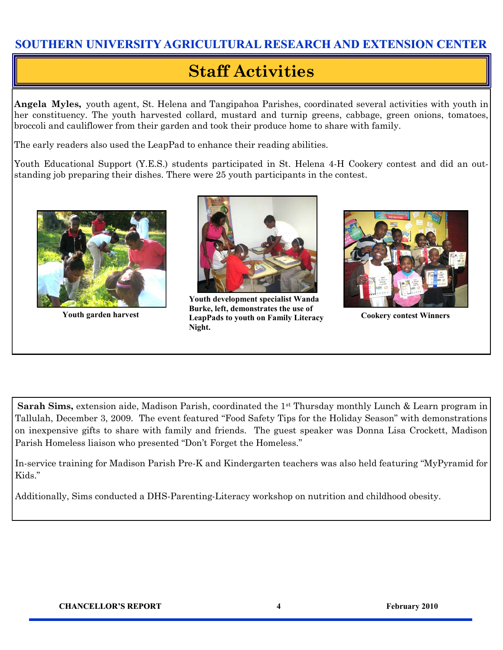#### **SOUTHERN UNIVERSITY AGRICULTURAL RESEARCH AND EXTENSION CENTER**

### **Staff Activities**

**Angela Myles,** youth agent, St. Helena and Tangipahoa Parishes, coordinated several activities with youth in her constituency. The youth harvested collard, mustard and turnip greens, cabbage, green onions, tomatoes, broccoli and cauliflower from their garden and took their produce home to share with family.

The early readers also used the LeapPad to enhance their reading abilities.

Youth Educational Support (Y.E.S.) students participated in St. Helena 4-H Cookery contest and did an outstanding job preparing their dishes. There were 25 youth participants in the contest.





Youth garden harvest **LeapPads to youth on Family Literacy** Cookery contest Winners **Youth development specialist Wanda Burke, left, demonstrates the use of Night.** 



**Sarah Sims,** extension aide, Madison Parish, coordinated the 1<sup>st</sup> Thursday monthly Lunch & Learn program in Tallulah, December 3, 2009. The event featured "Food Safety Tips for the Holiday Season" with demonstrations on inexpensive gifts to share with family and friends. The guest speaker was Donna Lisa Crockett, Madison Parish Homeless liaison who presented "Don't Forget the Homeless."

In-service training for Madison Parish Pre-K and Kindergarten teachers was also held featuring "MyPyramid for Kids."

Additionally, Sims conducted a DHS-Parenting-Literacy workshop on nutrition and childhood obesity.